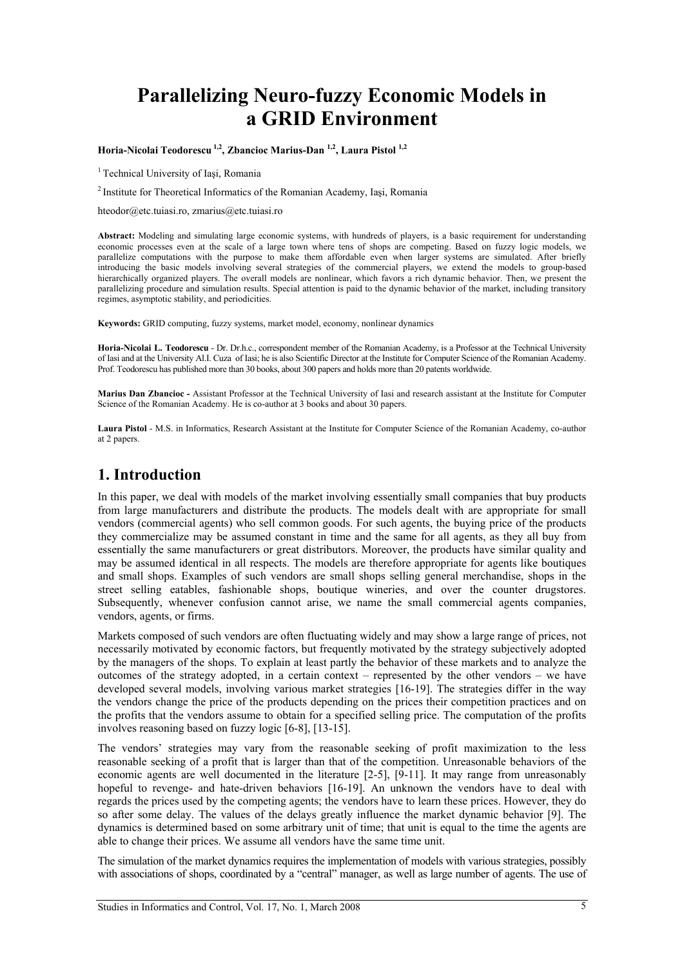# **Parallelizing Neuro-fuzzy Economic Models in a GRID Environment**

**Horia-Nicolai Teodorescu 1,2, Zbancioc Marius-Dan 1,2, Laura Pistol 1,2** 

<sup>1</sup> Technical University of Iasi, Romania

2 Institute for Theoretical Informatics of the Romanian Academy, Iaşi, Romania

hteodor@etc.tuiasi.ro, zmarius@etc.tuiasi.ro

**Abstract:** Modeling and simulating large economic systems, with hundreds of players, is a basic requirement for understanding economic processes even at the scale of a large town where tens of shops are competing. Based on fuzzy logic models, we parallelize computations with the purpose to make them affordable even when larger systems are simulated. After briefly introducing the basic models involving several strategies of the commercial players, we extend the models to group-based hierarchically organized players. The overall models are nonlinear, which favors a rich dynamic behavior. Then, we present the parallelizing procedure and simulation results. Special attention is paid to the dynamic behavior of the market, including transitory regimes, asymptotic stability, and periodicities.

**Keywords:** GRID computing, fuzzy systems, market model, economy, nonlinear dynamics

**Horia-Nicolai L. Teodorescu** - Dr. Dr.h.c., correspondent member of the Romanian Academy, is a Professor at the Technical University of Iasi and at the University Al.I. Cuza of Iasi; he is also Scientific Director at the Institute for Computer Science of the Romanian Academy. Prof. Teodorescu has published more than 30 books, about 300 papers and holds more than 20 patents worldwide.

**Marius Dan Zbancioc -** Assistant Professor at the Technical University of Iasi and research assistant at the Institute for Computer Science of the Romanian Academy. He is co-author at 3 books and about 30 papers.

**Laura Pistol** - M.S. in Informatics, Research Assistant at the Institute for Computer Science of the Romanian Academy, co-author at 2 papers.

### **1. Introduction**

In this paper, we deal with models of the market involving essentially small companies that buy products from large manufacturers and distribute the products. The models dealt with are appropriate for small vendors (commercial agents) who sell common goods. For such agents, the buying price of the products they commercialize may be assumed constant in time and the same for all agents, as they all buy from essentially the same manufacturers or great distributors. Moreover, the products have similar quality and may be assumed identical in all respects. The models are therefore appropriate for agents like boutiques and small shops. Examples of such vendors are small shops selling general merchandise, shops in the street selling eatables, fashionable shops, boutique wineries, and over the counter drugstores. Subsequently, whenever confusion cannot arise, we name the small commercial agents companies, vendors, agents, or firms.

Markets composed of such vendors are often fluctuating widely and may show a large range of prices, not necessarily motivated by economic factors, but frequently motivated by the strategy subjectively adopted by the managers of the shops. To explain at least partly the behavior of these markets and to analyze the outcomes of the strategy adopted, in a certain context – represented by the other vendors – we have developed several models, involving various market strategies [16-19]. The strategies differ in the way the vendors change the price of the products depending on the prices their competition practices and on the profits that the vendors assume to obtain for a specified selling price. The computation of the profits involves reasoning based on fuzzy logic [6-8], [13-15].

The vendors' strategies may vary from the reasonable seeking of profit maximization to the less reasonable seeking of a profit that is larger than that of the competition. Unreasonable behaviors of the economic agents are well documented in the literature [2-5], [9-11]. It may range from unreasonably hopeful to revenge- and hate-driven behaviors [16-19]. An unknown the vendors have to deal with regards the prices used by the competing agents; the vendors have to learn these prices. However, they do so after some delay. The values of the delays greatly influence the market dynamic behavior [9]. The dynamics is determined based on some arbitrary unit of time; that unit is equal to the time the agents are able to change their prices. We assume all vendors have the same time unit.

The simulation of the market dynamics requires the implementation of models with various strategies, possibly with associations of shops, coordinated by a "central" manager, as well as large number of agents. The use of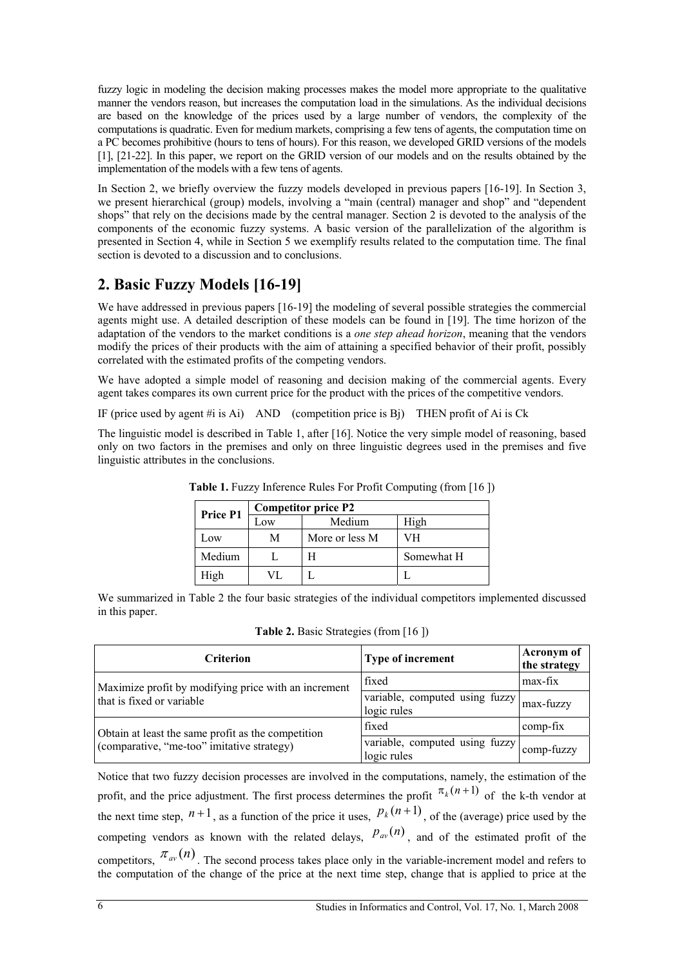fuzzy logic in modeling the decision making processes makes the model more appropriate to the qualitative manner the vendors reason, but increases the computation load in the simulations. As the individual decisions are based on the knowledge of the prices used by a large number of vendors, the complexity of the computations is quadratic. Even for medium markets, comprising a few tens of agents, the computation time on a PC becomes prohibitive (hours to tens of hours). For this reason, we developed GRID versions of the models [1], [21-22]. In this paper, we report on the GRID version of our models and on the results obtained by the implementation of the models with a few tens of agents.

In Section 2, we briefly overview the fuzzy models developed in previous papers [16-19]. In Section 3, we present hierarchical (group) models, involving a "main (central) manager and shop" and "dependent shops" that rely on the decisions made by the central manager. Section 2 is devoted to the analysis of the components of the economic fuzzy systems. A basic version of the parallelization of the algorithm is presented in Section 4, while in Section 5 we exemplify results related to the computation time. The final section is devoted to a discussion and to conclusions.

# **2. Basic Fuzzy Models [16-19]**

We have addressed in previous papers [16-19] the modeling of several possible strategies the commercial agents might use. A detailed description of these models can be found in [19]. The time horizon of the adaptation of the vendors to the market conditions is a *one step ahead horizon*, meaning that the vendors modify the prices of their products with the aim of attaining a specified behavior of their profit, possibly correlated with the estimated profits of the competing vendors.

We have adopted a simple model of reasoning and decision making of the commercial agents. Every agent takes compares its own current price for the product with the prices of the competitive vendors.

IF (price used by agent #i is Ai) AND (competition price is Bj) THEN profit of Ai is Ck

The linguistic model is described in Table 1, after [16]. Notice the very simple model of reasoning, based only on two factors in the premises and only on three linguistic degrees used in the premises and five linguistic attributes in the conclusions.

| <b>Price P1</b> | <b>Competitor price P2</b> |                |            |  |  |
|-----------------|----------------------------|----------------|------------|--|--|
|                 | Low                        | Medium         | High       |  |  |
| Low             | М                          | More or less M | VН         |  |  |
| Medium          |                            |                | Somewhat H |  |  |
| High            | VL.                        |                |            |  |  |

**Table 1.** Fuzzy Inference Rules For Profit Computing (from [16])

We summarized in Table 2 the four basic strategies of the individual competitors implemented discussed in this paper.

| <b>Criterion</b>                                     | Type of increment                             | Acronym of<br>the strategy |
|------------------------------------------------------|-----------------------------------------------|----------------------------|
| Maximize profit by modifying price with an increment | fixed                                         | max-fix                    |
| that is fixed or variable                            | variable, computed using fuzzy<br>logic rules | max-fuzzy                  |
| Obtain at least the same profit as the competition   | fixed                                         | comp-fix                   |
| (comparative, "me-too" imitative strategy)           | variable, computed using fuzzy<br>logic rules | comp-fuzzy                 |

**Table 2.** Basic Strategies (from [16 ])

Notice that two fuzzy decision processes are involved in the computations, namely, the estimation of the profit, and the price adjustment. The first process determines the profit  $\pi_k(n+1)$  of the k-th vendor at the next time step,  $n+1$ , as a function of the price it uses,  $p_k(n+1)$ , of the (average) price used by the competing vendors as known with the related delays,  $p_{av}(n)$ , and of the estimated profit of the competitors,  $\pi_{av}(n)$ . The second process takes place only in the variable-increment model and refers to the computation of the change of the price at the next time step, change that is applied to price at the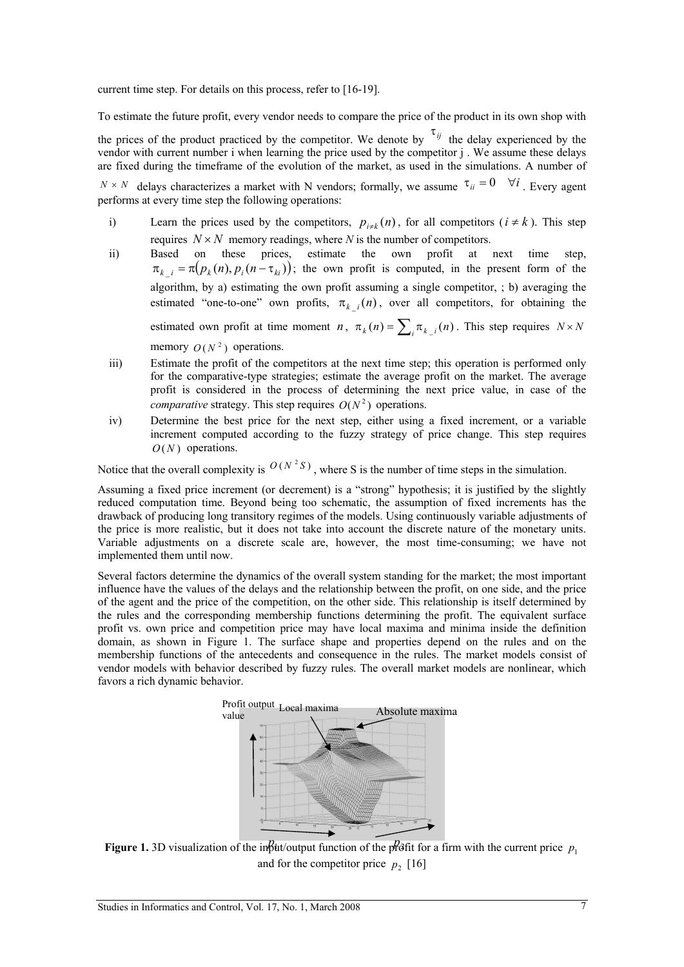current time step. For details on this process, refer to [16-19].

To estimate the future profit, every vendor needs to compare the price of the product in its own shop with the prices of the product practiced by the competitor. We denote by  $\tau_{ij}$  the delay experienced by the vendor with current number i when learning the price used by the competitor j . We assume these delays are fixed during the timeframe of the evolution of the market, as used in the simulations. A number of

 $N \times N$  delays characterizes a market with N vendors; formally, we assume  $\tau_{ii} = 0 \quad \forall i$ . Every agent performs at every time step the following operations:

- i) Learn the prices used by the competitors,  $p_{i\neq k}(n)$ , for all competitors ( $i \neq k$ ). This step requires  $N \times N$  memory readings, where *N* is the number of competitors.
- ii) Based on these prices, estimate the own profit at next time step,  $\pi_{k,i} = \pi(p_k(n), p_i(n - \tau_{ki}))$ ; the own profit is computed, in the present form of the algorithm, by a) estimating the own profit assuming a single competitor, ; b) averaging the estimated "one-to-one" own profits,  $\pi_{k-i}(n)$ , over all competitors, for obtaining the estimated own profit at time moment *n*,  $\pi_k(n) = \sum_i \pi_{k-i}(n)$ . This step requires  $N \times N$ memory  $Q(N^2)$  operations.
- iii) Estimate the profit of the competitors at the next time step; this operation is performed only for the comparative-type strategies; estimate the average profit on the market. The average profit is considered in the process of determining the next price value, in case of the *comparative* strategy. This step requires  $O(N^2)$  operations.
- iv) Determine the best price for the next step, either using a fixed increment, or a variable increment computed according to the fuzzy strategy of price change. This step requires *O* (*N* ) operations.

Notice that the overall complexity is  $O(N^2S)$ , where S is the number of time steps in the simulation.

Assuming a fixed price increment (or decrement) is a "strong" hypothesis; it is justified by the slightly reduced computation time. Beyond being too schematic, the assumption of fixed increments has the drawback of producing long transitory regimes of the models. Using continuously variable adjustments of the price is more realistic, but it does not take into account the discrete nature of the monetary units. Variable adjustments on a discrete scale are, however, the most time-consuming; we have not implemented them until now.

Several factors determine the dynamics of the overall system standing for the market; the most important influence have the values of the delays and the relationship between the profit, on one side, and the price of the agent and the price of the competition, on the other side. This relationship is itself determined by the rules and the corresponding membership functions determining the profit. The equivalent surface profit vs. own price and competition price may have local maxima and minima inside the definition domain, as shown in Figure 1. The surface shape and properties depend on the rules and on the membership functions of the antecedents and consequence in the rules. The market models consist of vendor models with behavior described by fuzzy rules. The overall market models are nonlinear, which favors a rich dynamic behavior.



**Figure 1.** 3D visualization of the in $\beta$ ut/output function of the profit for a firm with the current price  $p_1$ and for the competitor price  $p_2$  [16]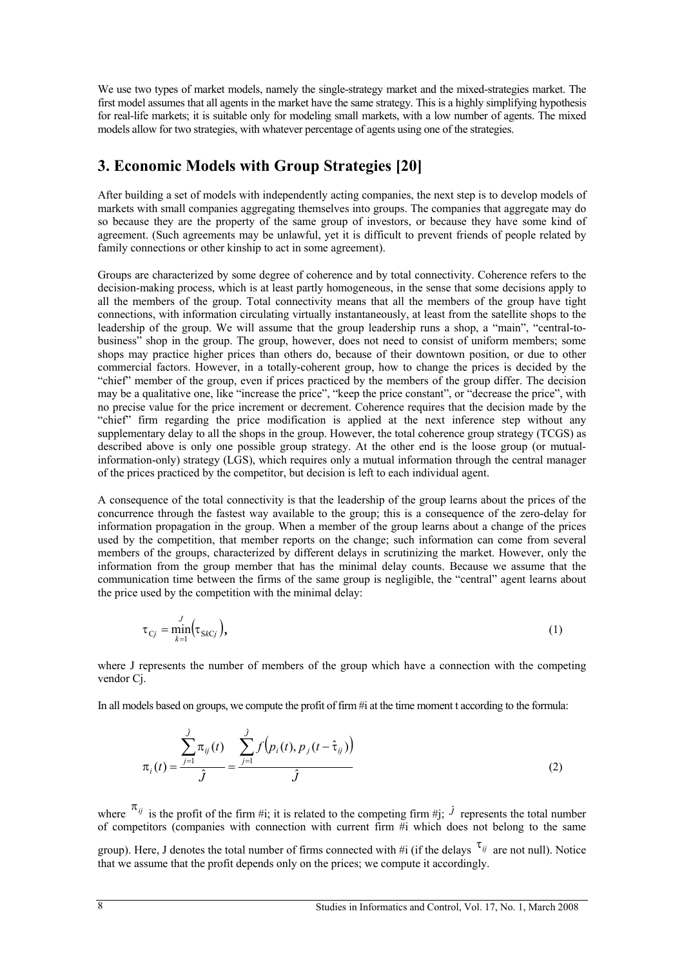We use two types of market models, namely the single-strategy market and the mixed-strategies market. The first model assumes that all agents in the market have the same strategy. This is a highly simplifying hypothesis for real-life markets; it is suitable only for modeling small markets, with a low number of agents. The mixed models allow for two strategies, with whatever percentage of agents using one of the strategies.

# **3. Economic Models with Group Strategies [20]**

After building a set of models with independently acting companies, the next step is to develop models of markets with small companies aggregating themselves into groups. The companies that aggregate may do so because they are the property of the same group of investors, or because they have some kind of agreement. (Such agreements may be unlawful, yet it is difficult to prevent friends of people related by family connections or other kinship to act in some agreement).

Groups are characterized by some degree of coherence and by total connectivity. Coherence refers to the decision-making process, which is at least partly homogeneous, in the sense that some decisions apply to all the members of the group. Total connectivity means that all the members of the group have tight connections, with information circulating virtually instantaneously, at least from the satellite shops to the leadership of the group. We will assume that the group leadership runs a shop, a "main", "central-tobusiness" shop in the group. The group, however, does not need to consist of uniform members; some shops may practice higher prices than others do, because of their downtown position, or due to other commercial factors. However, in a totally-coherent group, how to change the prices is decided by the "chief" member of the group, even if prices practiced by the members of the group differ. The decision may be a qualitative one, like "increase the price", "keep the price constant", or "decrease the price", with no precise value for the price increment or decrement. Coherence requires that the decision made by the "chief" firm regarding the price modification is applied at the next inference step without any supplementary delay to all the shops in the group. However, the total coherence group strategy (TCGS) as described above is only one possible group strategy. At the other end is the loose group (or mutualinformation-only) strategy (LGS), which requires only a mutual information through the central manager of the prices practiced by the competitor, but decision is left to each individual agent.

A consequence of the total connectivity is that the leadership of the group learns about the prices of the concurrence through the fastest way available to the group; this is a consequence of the zero-delay for information propagation in the group. When a member of the group learns about a change of the prices used by the competition, that member reports on the change; such information can come from several members of the groups, characterized by different delays in scrutinizing the market. However, only the information from the group member that has the minimal delay counts. Because we assume that the communication time between the firms of the same group is negligible, the "central" agent learns about the price used by the competition with the minimal delay:

$$
\tau_{Cj} = \min_{k=1}^{J} (\tau_{SkCj}), \qquad (1)
$$

where J represents the number of members of the group which have a connection with the competing vendor Cj.

In all models based on groups, we compute the profit of firm #i at the time moment t according to the formula:

$$
\pi_i(t) = \frac{\sum_{j=1}^{j} \pi_{ij}(t)}{\hat{j}} = \frac{\sum_{j=1}^{j} f(p_i(t), p_j(t - \hat{\tau}_{ij}))}{\hat{j}}
$$
(2)

where  $\pi_{ij}$  is the profit of the firm #i; it is related to the competing firm #j;  $\hat{J}$  represents the total number of competitors (companies with connection with current firm  $\#$ i which does not belong to the same

group). Here, J denotes the total number of firms connected with #i (if the delays  $\tau_{ij}$  are not null). Notice that we assume that the profit depends only on the prices; we compute it accordingly.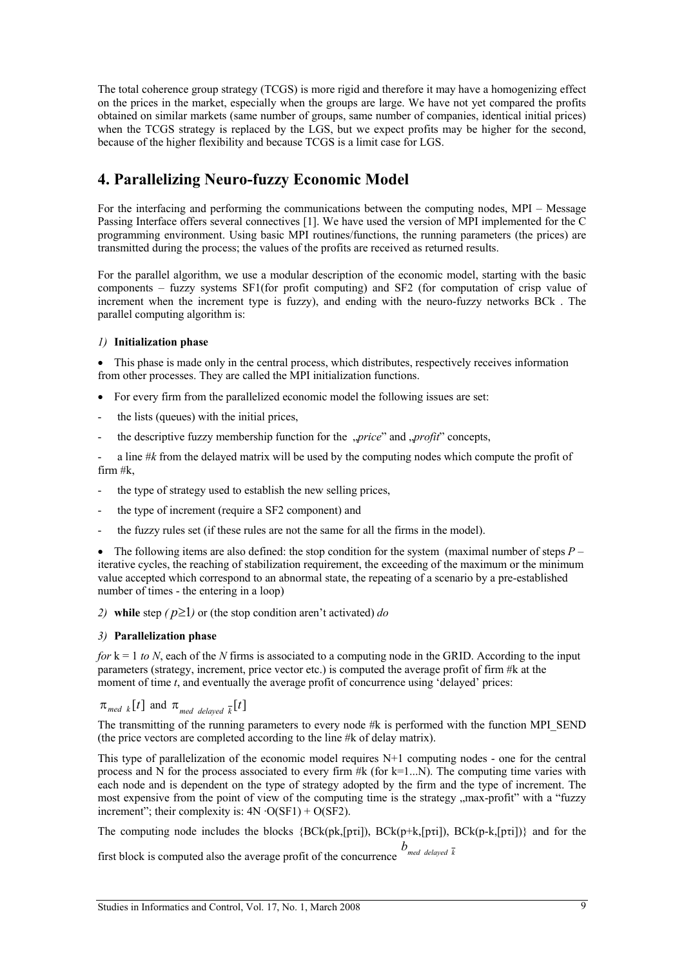The total coherence group strategy (TCGS) is more rigid and therefore it may have a homogenizing effect on the prices in the market, especially when the groups are large. We have not yet compared the profits obtained on similar markets (same number of groups, same number of companies, identical initial prices) when the TCGS strategy is replaced by the LGS, but we expect profits may be higher for the second, because of the higher flexibility and because TCGS is a limit case for LGS.

# **4. Parallelizing Neuro-fuzzy Economic Model**

For the interfacing and performing the communications between the computing nodes, MPI – Message Passing Interface offers several connectives [1]. We have used the version of MPI implemented for the C programming environment. Using basic MPI routines/functions, the running parameters (the prices) are transmitted during the process; the values of the profits are received as returned results.

For the parallel algorithm, we use a modular description of the economic model, starting with the basic components – fuzzy systems SF1(for profit computing) and SF2 (for computation of crisp value of increment when the increment type is fuzzy), and ending with the neuro-fuzzy networks BCk . The parallel computing algorithm is:

#### *1)* **Initialization phase**

• This phase is made only in the central process, which distributes, respectively receives information from other processes. They are called the MPI initialization functions.

- For every firm from the parallelized economic model the following issues are set:
- the lists (queues) with the initial prices.
- the descriptive fuzzy membership function for the *"price*" and *"profit*" concepts,

- a line #*k* from the delayed matrix will be used by the computing nodes which compute the profit of firm #k,

- the type of strategy used to establish the new selling prices,
- the type of increment (require a SF2 component) and
- the fuzzy rules set (if these rules are not the same for all the firms in the model).

 The following items are also defined: the stop condition for the system (maximal number of steps *P* – iterative cycles, the reaching of stabilization requirement, the exceeding of the maximum or the minimum value accepted which correspond to an abnormal state, the repeating of a scenario by a pre-established number of times - the entering in a loop)

2) while step  $(p \ge 1)$  or (the stop condition aren't activated) *do* 

#### *3)* **Parallelization phase**

*for*  $k = 1$  *to N*, each of the *N* firms is associated to a computing node in the GRID. According to the input parameters (strategy, increment, price vector etc.) is computed the average profit of firm #k at the moment of time *t*, and eventually the average profit of concurrence using 'delayed' prices:

 $\pi_{\text{med } k}[t]$  and  $\pi_{\text{med } \text{delayed } k}[t]$ 

The transmitting of the running parameters to every node #k is performed with the function MPI\_SEND (the price vectors are completed according to the line #k of delay matrix).

This type of parallelization of the economic model requires N+1 computing nodes - one for the central process and N for the process associated to every firm  $#k$  (for  $k=1...N$ ). The computing time varies with each node and is dependent on the type of strategy adopted by the firm and the type of increment. The most expensive from the point of view of the computing time is the strategy "max-profit" with a "fuzzy increment"; their complexity is:  $4N \cdot O(SF1) + O(SF2)$ .

The computing node includes the blocks {BCk(pk,[pτi]), BCk(p+k,[pτi]), BCk(p-k,[pτi])} and for the

first block is computed also the average profit of the concurrence  $\int_{\text{med delayed } k}$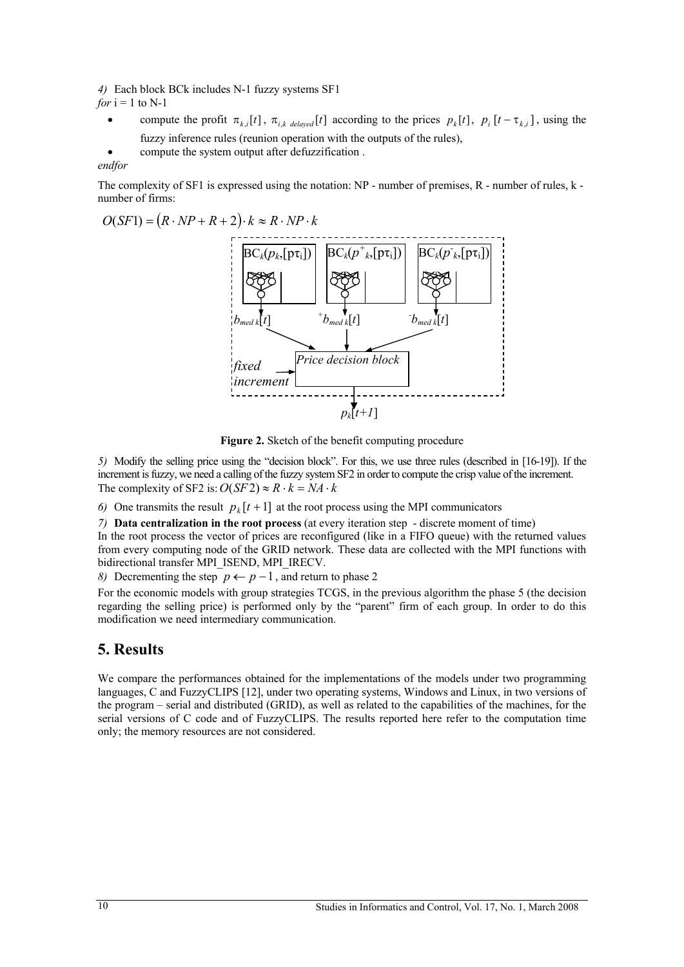*4)* Each block BCk includes N-1 fuzzy systems SF1 *for*  $i = 1$  to N-1

- compute the profit  $\pi_{k,i}[t]$ ,  $\pi_{i,k}$  *delayed*  $[t]$  according to the prices  $p_k[t]$ ,  $p_i[t \tau_{k,i}]$ , using the fuzzy inference rules (reunion operation with the outputs of the rules),
	- compute the system output after defuzzification .

#### *endfor*

The complexity of SF1 is expressed using the notation: NP - number of premises, R - number of rules, k number of firms:

 $O(SF1) = (R \cdot NP + R + 2) \cdot k \approx R \cdot NP \cdot k$ 



**Figure 2.** Sketch of the benefit computing procedure

*5)* Modify the selling price using the "decision block". For this, we use three rules (described in [16-19]). If the increment is fuzzy, we need a calling of the fuzzy system SF2 in order to compute the crisp value of the increment. The complexity of SF2 is:  $O(SF2) \approx R \cdot k = NA \cdot k$ 

6) One transmits the result  $p_k[t+1]$  at the root process using the MPI communicators

*7)* **Data centralization in the root process** (at every iteration step - discrete moment of time)

In the root process the vector of prices are reconfigured (like in a FIFO queue) with the returned values from every computing node of the GRID network. These data are collected with the MPI functions with bidirectional transfer MPI\_ISEND, MPI\_IRECV.

*8)* Decrementing the step  $p \leftarrow p-1$ , and return to phase 2

For the economic models with group strategies TCGS, in the previous algorithm the phase 5 (the decision regarding the selling price) is performed only by the "parent" firm of each group. In order to do this modification we need intermediary communication.

# **5. Results**

We compare the performances obtained for the implementations of the models under two programming languages, C and FuzzyCLIPS [12], under two operating systems, Windows and Linux, in two versions of the program – serial and distributed (GRID), as well as related to the capabilities of the machines, for the serial versions of C code and of FuzzyCLIPS. The results reported here refer to the computation time only; the memory resources are not considered.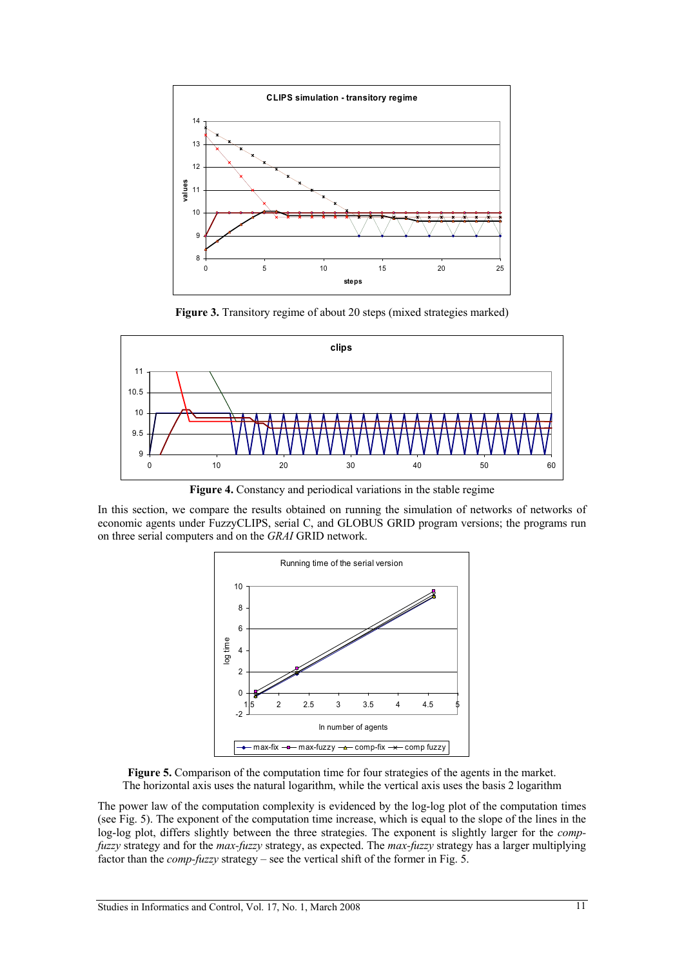

Figure 3. Transitory regime of about 20 steps (mixed strategies marked)



**Figure 4.** Constancy and periodical variations in the stable regime

In this section, we compare the results obtained on running the simulation of networks of networks of economic agents under FuzzyCLIPS, serial C, and GLOBUS GRID program versions; the programs run on three serial computers and on the *GRAI* GRID network.



Figure 5. Comparison of the computation time for four strategies of the agents in the market. The horizontal axis uses the natural logarithm, while the vertical axis uses the basis 2 logarithm

The power law of the computation complexity is evidenced by the log-log plot of the computation times (see Fig. 5). The exponent of the computation time increase, which is equal to the slope of the lines in the log-log plot, differs slightly between the three strategies. The exponent is slightly larger for the *compfuzzy* strategy and for the *max-fuzzy* strategy, as expected. The *max-fuzzy* strategy has a larger multiplying factor than the *comp-fuzzy* strategy – see the vertical shift of the former in Fig. 5.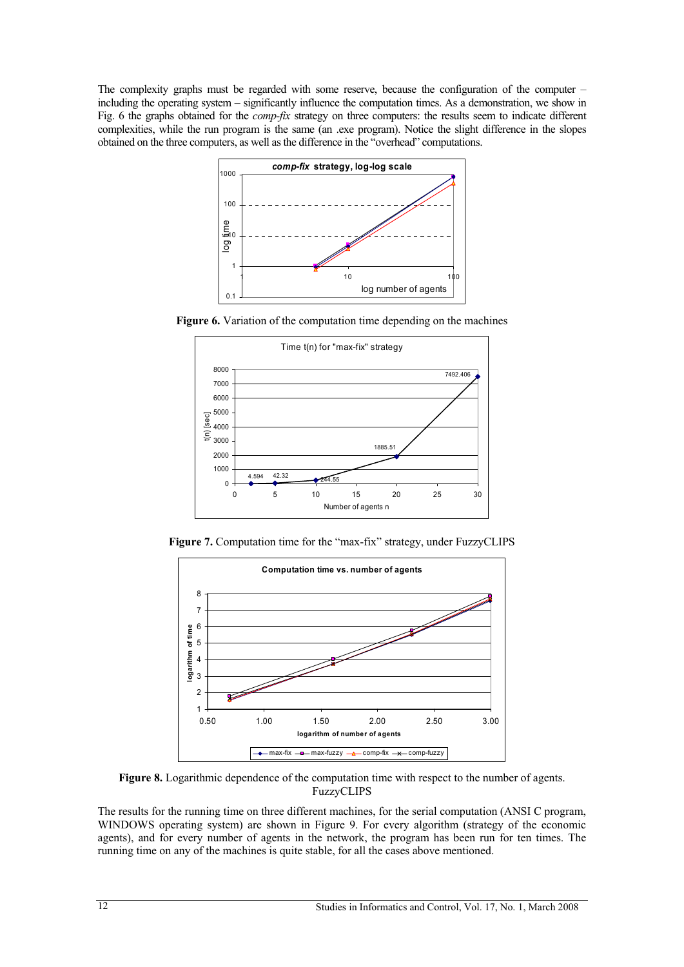The complexity graphs must be regarded with some reserve, because the configuration of the computer – including the operating system – significantly influence the computation times. As a demonstration, we show in Fig. 6 the graphs obtained for the *comp-fix* strategy on three computers: the results seem to indicate different complexities, while the run program is the same (an .exe program). Notice the slight difference in the slopes obtained on the three computers, as well as the difference in the "overhead" computations.



**Figure 6.** Variation of the computation time depending on the machines



**Figure 7.** Computation time for the "max-fix" strategy, under FuzzyCLIPS



**Figure 8.** Logarithmic dependence of the computation time with respect to the number of agents. FuzzyCLIPS

The results for the running time on three different machines, for the serial computation (ANSI C program, WINDOWS operating system) are shown in Figure 9. For every algorithm (strategy of the economic agents), and for every number of agents in the network, the program has been run for ten times. The running time on any of the machines is quite stable, for all the cases above mentioned.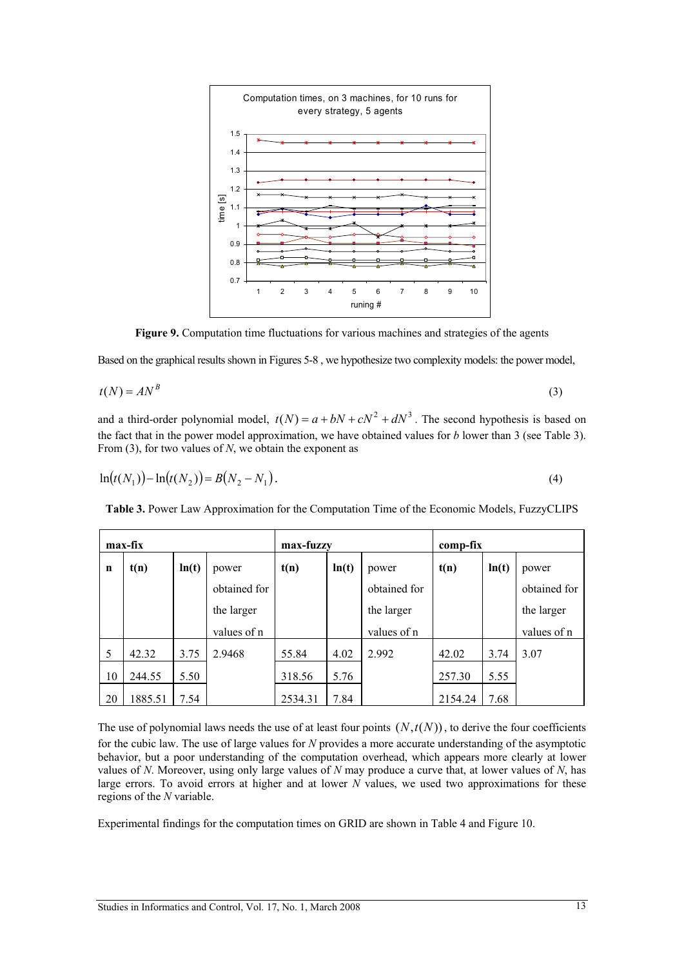

Figure 9. Computation time fluctuations for various machines and strategies of the agents

Based on the graphical results shown in Figures 5-8 , we hypothesize two complexity models: the power model,

$$
t(N) = AN^B \tag{3}
$$

and a third-order polynomial model,  $t(N) = a + bN + cN^2 + dN^3$ . The second hypothesis is based on the fact that in the power model approximation, we have obtained values for *b* lower than 3 (see Table 3). From (3), for two values of *N*, we obtain the exponent as

$$
\ln(t(N_1)) - \ln(t(N_2)) = B(N_2 - N_1). \tag{4}
$$

**Table 3.** Power Law Approximation for the Computation Time of the Economic Models, FuzzyCLIPS

|    | max-fix |       |              | max-fuzzy |       |              | comp-fix |       |              |
|----|---------|-------|--------------|-----------|-------|--------------|----------|-------|--------------|
| n  | t(n)    | ln(t) | power        | t(n)      | ln(t) | power        | t(n)     | ln(t) | power        |
|    |         |       | obtained for |           |       | obtained for |          |       | obtained for |
|    |         |       | the larger   |           |       | the larger   |          |       | the larger   |
|    |         |       | values of n  |           |       | values of n  |          |       | values of n  |
| 5  | 42.32   | 3.75  | 2.9468       | 55.84     | 4.02  | 2.992        | 42.02    | 3.74  | 3.07         |
| 10 | 244.55  | 5.50  |              | 318.56    | 5.76  |              | 257.30   | 5.55  |              |
| 20 | 1885.51 | 7.54  |              | 2534.31   | 7.84  |              | 2154.24  | 7.68  |              |

The use of polynomial laws needs the use of at least four points  $(N, t(N))$ , to derive the four coefficients for the cubic law. The use of large values for *N* provides a more accurate understanding of the asymptotic behavior, but a poor understanding of the computation overhead, which appears more clearly at lower values of *N*. Moreover, using only large values of *N* may produce a curve that, at lower values of *N*, has large errors. To avoid errors at higher and at lower *N* values, we used two approximations for these regions of the *N* variable.

Experimental findings for the computation times on GRID are shown in Table 4 and Figure 10.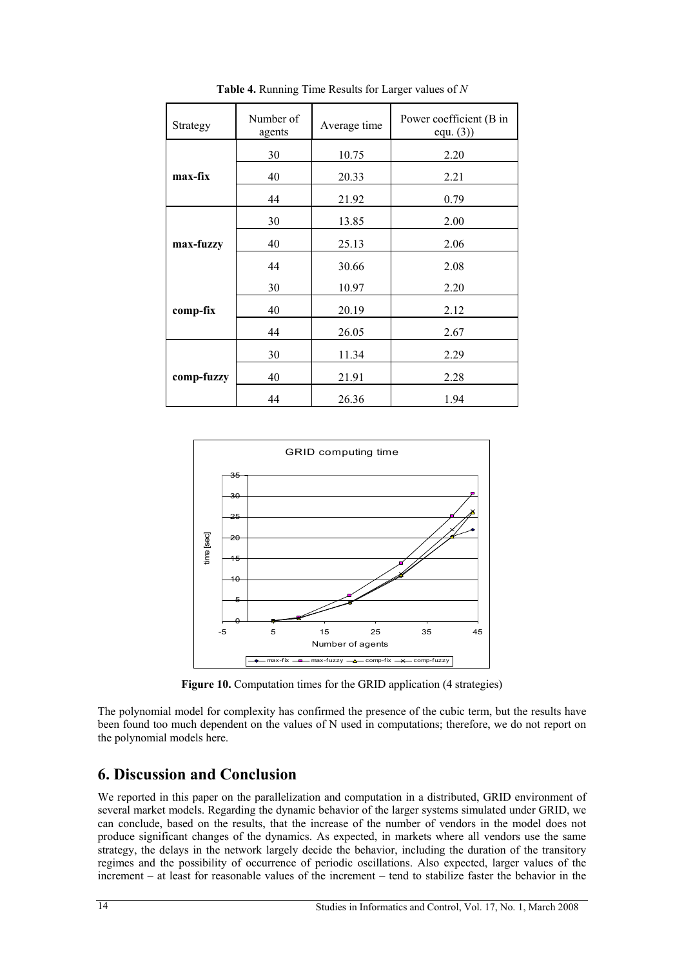| Strategy   | Number of<br>agents | Average time | Power coefficient (B in<br>equ. (3) |
|------------|---------------------|--------------|-------------------------------------|
|            | 30                  | 10.75        | 2.20                                |
| max-fix    | 40                  | 20.33        | 2.21                                |
|            | 44                  | 21.92        | 0.79                                |
|            | 30                  | 13.85        | 2.00                                |
| max-fuzzy  | 40                  | 25.13        | 2.06                                |
|            | 44                  | 30.66        | 2.08                                |
|            | 30                  | 10.97        | 2.20                                |
| comp-fix   | 40                  | 20.19        | 2.12                                |
|            | 44                  | 26.05        | 2.67                                |
|            | 30                  | 11.34        | 2.29                                |
| comp-fuzzy | 40                  | 21.91        | 2.28                                |
|            | 44                  | 26.36        | 1.94                                |

**Table 4.** Running Time Results for Larger values of *N* 



Figure 10. Computation times for the GRID application (4 strategies)

The polynomial model for complexity has confirmed the presence of the cubic term, but the results have been found too much dependent on the values of N used in computations; therefore, we do not report on the polynomial models here.

### **6. Discussion and Conclusion**

We reported in this paper on the parallelization and computation in a distributed, GRID environment of several market models. Regarding the dynamic behavior of the larger systems simulated under GRID, we can conclude, based on the results, that the increase of the number of vendors in the model does not produce significant changes of the dynamics. As expected, in markets where all vendors use the same strategy, the delays in the network largely decide the behavior, including the duration of the transitory regimes and the possibility of occurrence of periodic oscillations. Also expected, larger values of the increment – at least for reasonable values of the increment – tend to stabilize faster the behavior in the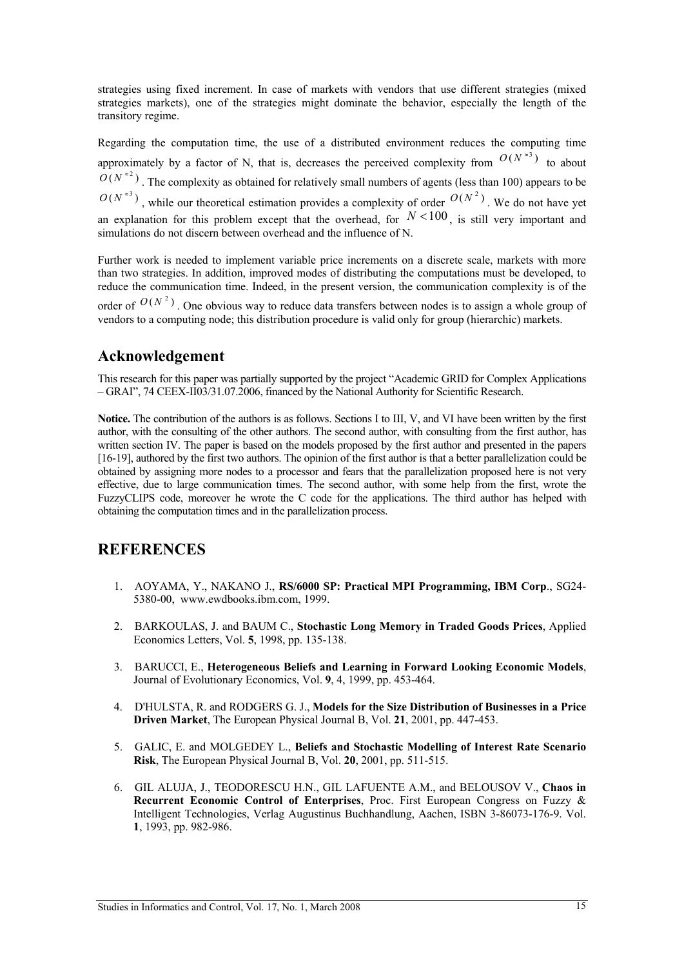strategies using fixed increment. In case of markets with vendors that use different strategies (mixed strategies markets), one of the strategies might dominate the behavior, especially the length of the transitory regime.

Regarding the computation time, the use of a distributed environment reduces the computing time approximately by a factor of N, that is, decreases the perceived complexity from  $O(N^{*3})$  to about  $O(N^{2})$ . The complexity as obtained for relatively small numbers of agents (less than 100) appears to be  $O(N^{*3})$ , while our theoretical estimation provides a complexity of order  $O(N^2)$ . We do not have yet an explanation for this problem except that the overhead, for  $N < 100$ , is still very important and simulations do not discern between overhead and the influence of N.

Further work is needed to implement variable price increments on a discrete scale, markets with more than two strategies. In addition, improved modes of distributing the computations must be developed, to reduce the communication time. Indeed, in the present version, the communication complexity is of the

order of  $O(N^2)$ . One obvious way to reduce data transfers between nodes is to assign a whole group of vendors to a computing node; this distribution procedure is valid only for group (hierarchic) markets.

# **Acknowledgement**

This research for this paper was partially supported by the project "Academic GRID for Complex Applications – GRAI", 74 CEEX-II03/31.07.2006, financed by the National Authority for Scientific Research.

**Notice.** The contribution of the authors is as follows. Sections I to III, V, and VI have been written by the first author, with the consulting of the other authors. The second author, with consulting from the first author, has written section IV. The paper is based on the models proposed by the first author and presented in the papers [16-19], authored by the first two authors. The opinion of the first author is that a better parallelization could be obtained by assigning more nodes to a processor and fears that the parallelization proposed here is not very effective, due to large communication times. The second author, with some help from the first, wrote the FuzzyCLIPS code, moreover he wrote the C code for the applications. The third author has helped with obtaining the computation times and in the parallelization process.

# **REFERENCES**

- 1. AOYAMA, Y., NAKANO J., **RS/6000 SP: Practical MPI Programming, IBM Corp**., SG24- 5380-00, www.ewdbooks.ibm.com, 1999.
- 2. BARKOULAS, J. and BAUM C., **Stochastic Long Memory in Traded Goods Prices**, Applied Economics Letters, Vol. **5**, 1998, pp. 135-138.
- 3. BARUCCI, E., **Heterogeneous Beliefs and Learning in Forward Looking Economic Models**, Journal of Evolutionary Economics, Vol. **9**, 4, 1999, pp. 453-464.
- 4. D'HULSTA, R. and RODGERS G. J., **Models for the Size Distribution of Businesses in a Price Driven Market**, The European Physical Journal B, Vol. **21**, 2001, pp. 447-453.
- 5. GALIC, E. and MOLGEDEY L., **Beliefs and Stochastic Modelling of Interest Rate Scenario Risk**, The European Physical Journal B, Vol. **20**, 2001, pp. 511-515.
- 6. GIL ALUJA, J., TEODORESCU H.N., GIL LAFUENTE A.M., and BELOUSOV V., **Chaos in Recurrent Economic Control of Enterprises**, Proc. First European Congress on Fuzzy & Intelligent Technologies, Verlag Augustinus Buchhandlung, Aachen, ISBN 3-86073-176-9. Vol. **1**, 1993, pp. 982-986.